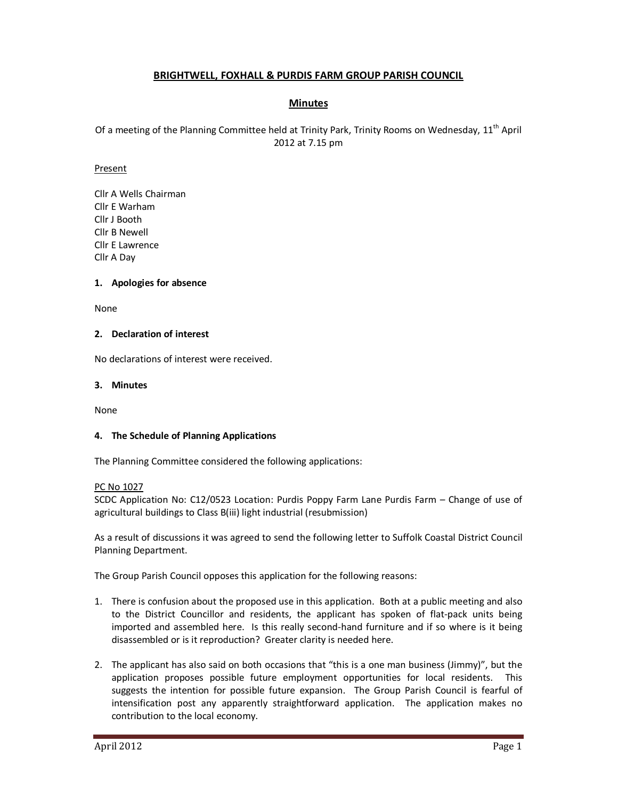# **BRIGHTWELL, FOXHALL & PURDIS FARM GROUP PARISH COUNCIL**

# **Minutes**

Of a meeting of the Planning Committee held at Trinity Park, Trinity Rooms on Wednesday, 11<sup>th</sup> April 2012 at 7.15 pm

#### Present

Cllr A Wells Chairman Cllr E Warham Cllr J Booth Cllr B Newell Cllr E Lawrence Cllr A Day

#### **1. Apologies for absence**

None

#### **2. Declaration of interest**

No declarations of interest were received.

#### **3. Minutes**

None

### **4. The Schedule of Planning Applications**

The Planning Committee considered the following applications:

PC No 1027

SCDC Application No: C12/0523 Location: Purdis Poppy Farm Lane Purdis Farm – Change of use of agricultural buildings to Class B(iii) light industrial (resubmission)

As a result of discussions it was agreed to send the following letter to Suffolk Coastal District Council Planning Department.

The Group Parish Council opposes this application for the following reasons:

- 1. There is confusion about the proposed use in this application. Both at a public meeting and also to the District Councillor and residents, the applicant has spoken of flat-pack units being imported and assembled here. Is this really second-hand furniture and if so where is it being disassembled or is it reproduction? Greater clarity is needed here.
- 2. The applicant has also said on both occasions that "this is a one man business (Jimmy)", but the application proposes possible future employment opportunities for local residents. This suggests the intention for possible future expansion. The Group Parish Council is fearful of intensification post any apparently straightforward application. The application makes no contribution to the local economy.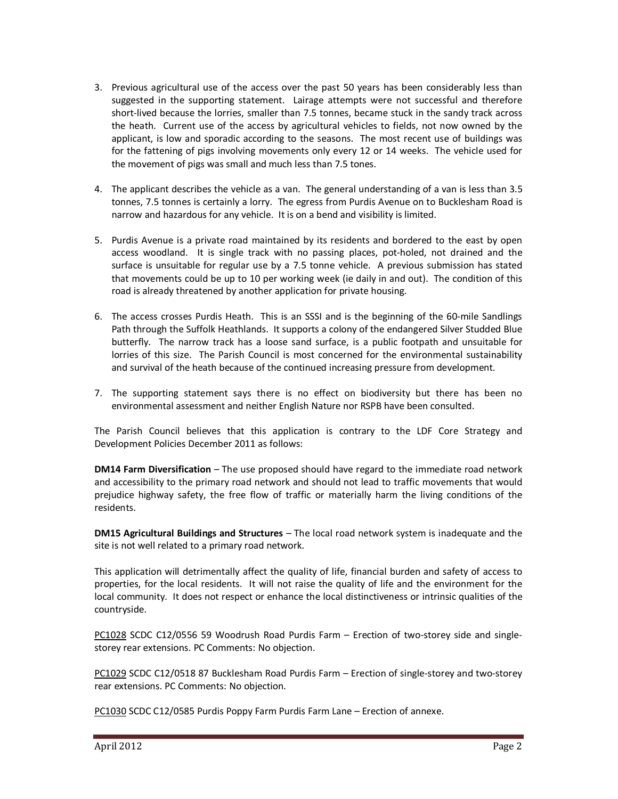- 3. Previous agricultural use of the access over the past 50 years has been considerably less than suggested in the supporting statement. Lairage attempts were not successful and therefore short-lived because the lorries, smaller than 7.5 tonnes, became stuck in the sandy track across the heath. Current use of the access by agricultural vehicles to fields, not now owned by the applicant, is low and sporadic according to the seasons. The most recent use of buildings was for the fattening of pigs involving movements only every 12 or 14 weeks. The vehicle used for the movement of pigs was small and much less than 7.5 tones.
- 4. The applicant describes the vehicle as a van. The general understanding of a van is less than 3.5 tonnes, 7.5 tonnes is certainly a lorry. The egress from Purdis Avenue on to Bucklesham Road is narrow and hazardous for any vehicle. It is on a bend and visibility is limited.
- 5. Purdis Avenue is a private road maintained by its residents and bordered to the east by open access woodland. It is single track with no passing places, pot-holed, not drained and the surface is unsuitable for regular use by a 7.5 tonne vehicle. A previous submission has stated that movements could be up to 10 per working week (ie daily in and out). The condition of this road is already threatened by another application for private housing.
- 6. The access crosses Purdis Heath. This is an SSSI and is the beginning of the 60-mile Sandlings Path through the Suffolk Heathlands. It supports a colony of the endangered Silver Studded Blue butterfly. The narrow track has a loose sand surface, is a public footpath and unsuitable for lorries of this size. The Parish Council is most concerned for the environmental sustainability and survival of the heath because of the continued increasing pressure from development.
- 7. The supporting statement says there is no effect on biodiversity but there has been no environmental assessment and neither English Nature nor RSPB have been consulted.

The Parish Council believes that this application is contrary to the LDF Core Strategy and Development Policies December 2011 as follows:

**DM14 Farm Diversification** – The use proposed should have regard to the immediate road network and accessibility to the primary road network and should not lead to traffic movements that would prejudice highway safety, the free flow of traffic or materially harm the living conditions of the residents.

**DM15 Agricultural Buildings and Structures** – The local road network system is inadequate and the site is not well related to a primary road network.

This application will detrimentally affect the quality of life, financial burden and safety of access to properties, for the local residents. It will not raise the quality of life and the environment for the local community. It does not respect or enhance the local distinctiveness or intrinsic qualities of the countryside.

PC1028 SCDC C12/0556 59 Woodrush Road Purdis Farm – Erection of two-storey side and singlestorey rear extensions. PC Comments: No objection.

PC1029 SCDC C12/0518 87 Bucklesham Road Purdis Farm – Erection of single-storey and two-storey rear extensions. PC Comments: No objection.

PC1030 SCDC C12/0585 Purdis Poppy Farm Purdis Farm Lane – Erection of annexe.